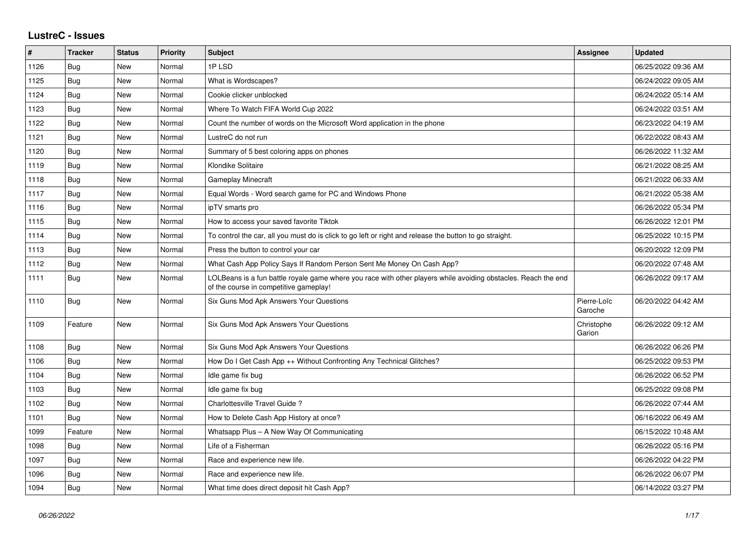## **LustreC - Issues**

| #    | <b>Tracker</b> | <b>Status</b> | <b>Priority</b> | <b>Subject</b>                                                                                                                                           | Assignee               | <b>Updated</b>      |
|------|----------------|---------------|-----------------|----------------------------------------------------------------------------------------------------------------------------------------------------------|------------------------|---------------------|
| 1126 | Bug            | New           | Normal          | 1PLSD                                                                                                                                                    |                        | 06/25/2022 09:36 AM |
| 1125 | Bug            | New           | Normal          | What is Wordscapes?                                                                                                                                      |                        | 06/24/2022 09:05 AM |
| 1124 | Bug            | New           | Normal          | Cookie clicker unblocked                                                                                                                                 |                        | 06/24/2022 05:14 AM |
| 1123 | Bug            | New           | Normal          | Where To Watch FIFA World Cup 2022                                                                                                                       |                        | 06/24/2022 03:51 AM |
| 1122 | Bug            | New           | Normal          | Count the number of words on the Microsoft Word application in the phone                                                                                 |                        | 06/23/2022 04:19 AM |
| 1121 | <b>Bug</b>     | New           | Normal          | LustreC do not run                                                                                                                                       |                        | 06/22/2022 08:43 AM |
| 1120 | Bug            | New           | Normal          | Summary of 5 best coloring apps on phones                                                                                                                |                        | 06/26/2022 11:32 AM |
| 1119 | Bug            | New           | Normal          | Klondike Solitaire                                                                                                                                       |                        | 06/21/2022 08:25 AM |
| 1118 | Bug            | New           | Normal          | <b>Gameplay Minecraft</b>                                                                                                                                |                        | 06/21/2022 06:33 AM |
| 1117 | <b>Bug</b>     | New           | Normal          | Equal Words - Word search game for PC and Windows Phone                                                                                                  |                        | 06/21/2022 05:38 AM |
| 1116 | Bug            | New           | Normal          | ipTV smarts pro                                                                                                                                          |                        | 06/26/2022 05:34 PM |
| 1115 | Bug            | New           | Normal          | How to access your saved favorite Tiktok                                                                                                                 |                        | 06/26/2022 12:01 PM |
| 1114 | Bug            | New           | Normal          | To control the car, all you must do is click to go left or right and release the button to go straight.                                                  |                        | 06/25/2022 10:15 PM |
| 1113 | <b>Bug</b>     | New           | Normal          | Press the button to control your car                                                                                                                     |                        | 06/20/2022 12:09 PM |
| 1112 | Bug            | New           | Normal          | What Cash App Policy Says If Random Person Sent Me Money On Cash App?                                                                                    |                        | 06/20/2022 07:48 AM |
| 1111 | <b>Bug</b>     | New           | Normal          | LOLBeans is a fun battle royale game where you race with other players while avoiding obstacles. Reach the end<br>of the course in competitive gameplay! |                        | 06/26/2022 09:17 AM |
| 1110 | Bug            | New           | Normal          | Six Guns Mod Apk Answers Your Questions                                                                                                                  | Pierre-Loïc<br>Garoche | 06/20/2022 04:42 AM |
| 1109 | Feature        | New           | Normal          | Six Guns Mod Apk Answers Your Questions                                                                                                                  | Christophe<br>Garion   | 06/26/2022 09:12 AM |
| 1108 | Bug            | New           | Normal          | Six Guns Mod Apk Answers Your Questions                                                                                                                  |                        | 06/26/2022 06:26 PM |
| 1106 | <b>Bug</b>     | New           | Normal          | How Do I Get Cash App ++ Without Confronting Any Technical Glitches?                                                                                     |                        | 06/25/2022 09:53 PM |
| 1104 | Bug            | New           | Normal          | Idle game fix bug                                                                                                                                        |                        | 06/26/2022 06:52 PM |
| 1103 | Bug            | New           | Normal          | Idle game fix bug                                                                                                                                        |                        | 06/25/2022 09:08 PM |
| 1102 | Bug            | New           | Normal          | Charlottesville Travel Guide?                                                                                                                            |                        | 06/26/2022 07:44 AM |
| 1101 | Bug            | New           | Normal          | How to Delete Cash App History at once?                                                                                                                  |                        | 06/16/2022 06:49 AM |
| 1099 | Feature        | New           | Normal          | Whatsapp Plus - A New Way Of Communicating                                                                                                               |                        | 06/15/2022 10:48 AM |
| 1098 | Bug            | New           | Normal          | Life of a Fisherman                                                                                                                                      |                        | 06/26/2022 05:16 PM |
| 1097 | Bug            | New           | Normal          | Race and experience new life.                                                                                                                            |                        | 06/26/2022 04:22 PM |
| 1096 | <b>Bug</b>     | New           | Normal          | Race and experience new life.                                                                                                                            |                        | 06/26/2022 06:07 PM |
| 1094 | Bug            | New           | Normal          | What time does direct deposit hit Cash App?                                                                                                              |                        | 06/14/2022 03:27 PM |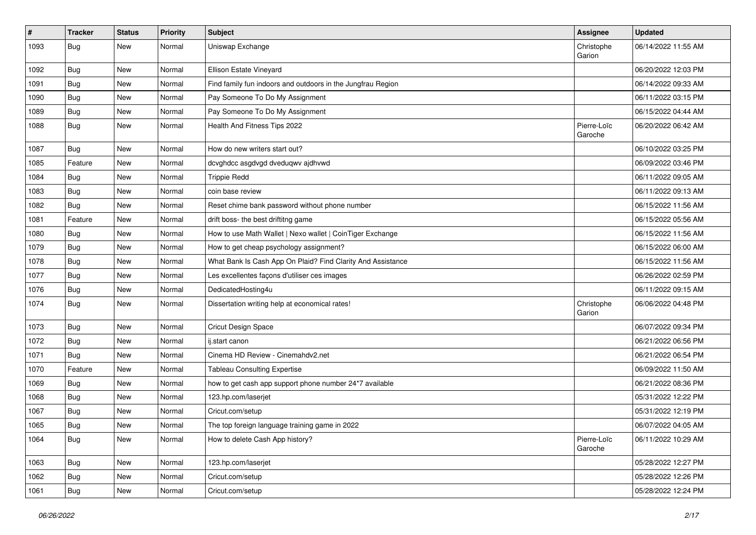| $\pmb{\#}$ | <b>Tracker</b> | <b>Status</b> | <b>Priority</b> | Subject                                                     | Assignee               | <b>Updated</b>      |
|------------|----------------|---------------|-----------------|-------------------------------------------------------------|------------------------|---------------------|
| 1093       | Bug            | New           | Normal          | Uniswap Exchange                                            | Christophe<br>Garion   | 06/14/2022 11:55 AM |
| 1092       | Bug            | New           | Normal          | Ellison Estate Vineyard                                     |                        | 06/20/2022 12:03 PM |
| 1091       | Bug            | New           | Normal          | Find family fun indoors and outdoors in the Jungfrau Region |                        | 06/14/2022 09:33 AM |
| 1090       | Bug            | <b>New</b>    | Normal          | Pay Someone To Do My Assignment                             |                        | 06/11/2022 03:15 PM |
| 1089       | Bug            | New           | Normal          | Pay Someone To Do My Assignment                             |                        | 06/15/2022 04:44 AM |
| 1088       | Bug            | New           | Normal          | Health And Fitness Tips 2022                                | Pierre-Loïc<br>Garoche | 06/20/2022 06:42 AM |
| 1087       | Bug            | <b>New</b>    | Normal          | How do new writers start out?                               |                        | 06/10/2022 03:25 PM |
| 1085       | Feature        | New           | Normal          | dcvghdcc asgdvgd dveduqwv ajdhvwd                           |                        | 06/09/2022 03:46 PM |
| 1084       | Bug            | New           | Normal          | <b>Trippie Redd</b>                                         |                        | 06/11/2022 09:05 AM |
| 1083       | Bug            | New           | Normal          | coin base review                                            |                        | 06/11/2022 09:13 AM |
| 1082       | Bug            | <b>New</b>    | Normal          | Reset chime bank password without phone number              |                        | 06/15/2022 11:56 AM |
| 1081       | Feature        | New           | Normal          | drift boss- the best driftitng game                         |                        | 06/15/2022 05:56 AM |
| 1080       | <b>Bug</b>     | <b>New</b>    | Normal          | How to use Math Wallet   Nexo wallet   CoinTiger Exchange   |                        | 06/15/2022 11:56 AM |
| 1079       | Bug            | New           | Normal          | How to get cheap psychology assignment?                     |                        | 06/15/2022 06:00 AM |
| 1078       | <b>Bug</b>     | New           | Normal          | What Bank Is Cash App On Plaid? Find Clarity And Assistance |                        | 06/15/2022 11:56 AM |
| 1077       | Bug            | <b>New</b>    | Normal          | Les excellentes façons d'utiliser ces images                |                        | 06/26/2022 02:59 PM |
| 1076       | <b>Bug</b>     | New           | Normal          | DedicatedHosting4u                                          |                        | 06/11/2022 09:15 AM |
| 1074       | Bug            | New           | Normal          | Dissertation writing help at economical rates!              | Christophe<br>Garion   | 06/06/2022 04:48 PM |
| 1073       | <b>Bug</b>     | <b>New</b>    | Normal          | <b>Cricut Design Space</b>                                  |                        | 06/07/2022 09:34 PM |
| 1072       | <b>Bug</b>     | <b>New</b>    | Normal          | ij.start canon                                              |                        | 06/21/2022 06:56 PM |
| 1071       | <b>Bug</b>     | New           | Normal          | Cinema HD Review - Cinemahdv2.net                           |                        | 06/21/2022 06:54 PM |
| 1070       | Feature        | New           | Normal          | <b>Tableau Consulting Expertise</b>                         |                        | 06/09/2022 11:50 AM |
| 1069       | <b>Bug</b>     | <b>New</b>    | Normal          | how to get cash app support phone number 24*7 available     |                        | 06/21/2022 08:36 PM |
| 1068       | <b>Bug</b>     | New           | Normal          | 123.hp.com/laserjet                                         |                        | 05/31/2022 12:22 PM |
| 1067       | <b>Bug</b>     | New           | Normal          | Cricut.com/setup                                            |                        | 05/31/2022 12:19 PM |
| 1065       | Bug            | New           | Normal          | The top foreign language training game in 2022              |                        | 06/07/2022 04:05 AM |
| 1064       | Bug            | New           | Normal          | How to delete Cash App history?                             | Pierre-Loïc<br>Garoche | 06/11/2022 10:29 AM |
| 1063       | Bug            | New           | Normal          | 123.hp.com/laserjet                                         |                        | 05/28/2022 12:27 PM |
| 1062       | Bug            | New           | Normal          | Cricut.com/setup                                            |                        | 05/28/2022 12:26 PM |
| 1061       | <b>Bug</b>     | New           | Normal          | Cricut.com/setup                                            |                        | 05/28/2022 12:24 PM |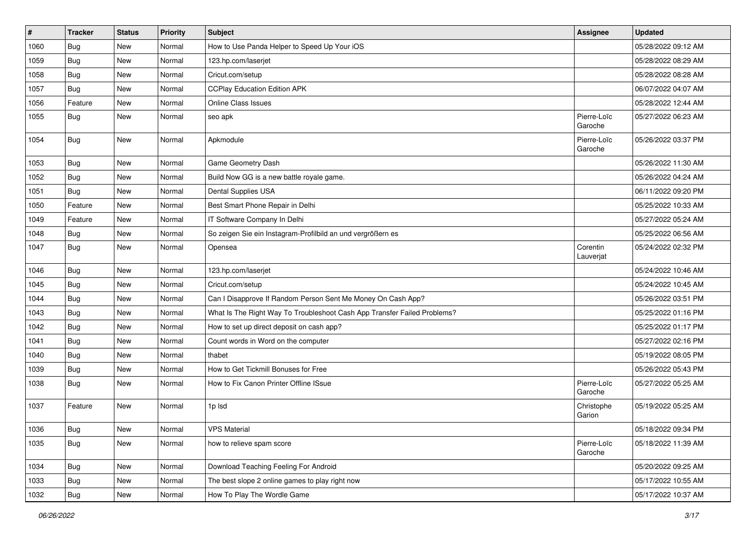| #    | <b>Tracker</b> | <b>Status</b> | Priority | Subject                                                                  | Assignee               | <b>Updated</b>      |
|------|----------------|---------------|----------|--------------------------------------------------------------------------|------------------------|---------------------|
| 1060 | Bug            | New           | Normal   | How to Use Panda Helper to Speed Up Your iOS                             |                        | 05/28/2022 09:12 AM |
| 1059 | <b>Bug</b>     | <b>New</b>    | Normal   | 123.hp.com/laserjet                                                      |                        | 05/28/2022 08:29 AM |
| 1058 | Bug            | New           | Normal   | Cricut.com/setup                                                         |                        | 05/28/2022 08:28 AM |
| 1057 | Bug            | New           | Normal   | <b>CCPlay Education Edition APK</b>                                      |                        | 06/07/2022 04:07 AM |
| 1056 | Feature        | New           | Normal   | Online Class Issues                                                      |                        | 05/28/2022 12:44 AM |
| 1055 | Bug            | New           | Normal   | seo apk                                                                  | Pierre-Loïc<br>Garoche | 05/27/2022 06:23 AM |
| 1054 | <b>Bug</b>     | <b>New</b>    | Normal   | Apkmodule                                                                | Pierre-Loïc<br>Garoche | 05/26/2022 03:37 PM |
| 1053 | Bug            | <b>New</b>    | Normal   | Game Geometry Dash                                                       |                        | 05/26/2022 11:30 AM |
| 1052 | Bug            | New           | Normal   | Build Now GG is a new battle royale game.                                |                        | 05/26/2022 04:24 AM |
| 1051 | Bug            | New           | Normal   | Dental Supplies USA                                                      |                        | 06/11/2022 09:20 PM |
| 1050 | Feature        | New           | Normal   | Best Smart Phone Repair in Delhi                                         |                        | 05/25/2022 10:33 AM |
| 1049 | Feature        | New           | Normal   | IT Software Company In Delhi                                             |                        | 05/27/2022 05:24 AM |
| 1048 | Bug            | New           | Normal   | So zeigen Sie ein Instagram-Profilbild an und vergrößern es              |                        | 05/25/2022 06:56 AM |
| 1047 | Bug            | New           | Normal   | Opensea                                                                  | Corentin<br>Lauverjat  | 05/24/2022 02:32 PM |
| 1046 | Bug            | <b>New</b>    | Normal   | 123.hp.com/laserjet                                                      |                        | 05/24/2022 10:46 AM |
| 1045 | Bug            | New           | Normal   | Cricut.com/setup                                                         |                        | 05/24/2022 10:45 AM |
| 1044 | Bug            | New           | Normal   | Can I Disapprove If Random Person Sent Me Money On Cash App?             |                        | 05/26/2022 03:51 PM |
| 1043 | <b>Bug</b>     | <b>New</b>    | Normal   | What Is The Right Way To Troubleshoot Cash App Transfer Failed Problems? |                        | 05/25/2022 01:16 PM |
| 1042 | Bug            | <b>New</b>    | Normal   | How to set up direct deposit on cash app?                                |                        | 05/25/2022 01:17 PM |
| 1041 | Bug            | New           | Normal   | Count words in Word on the computer                                      |                        | 05/27/2022 02:16 PM |
| 1040 | Bug            | New           | Normal   | thabet                                                                   |                        | 05/19/2022 08:05 PM |
| 1039 | Bug            | New           | Normal   | How to Get Tickmill Bonuses for Free                                     |                        | 05/26/2022 05:43 PM |
| 1038 | Bug            | <b>New</b>    | Normal   | How to Fix Canon Printer Offline ISsue                                   | Pierre-Loïc<br>Garoche | 05/27/2022 05:25 AM |
| 1037 | Feature        | New           | Normal   | 1p lsd                                                                   | Christophe<br>Garion   | 05/19/2022 05:25 AM |
| 1036 | <b>Bug</b>     | <b>New</b>    | Normal   | <b>VPS Material</b>                                                      |                        | 05/18/2022 09:34 PM |
| 1035 | <b>Bug</b>     | New           | Normal   | how to relieve spam score                                                | Pierre-Loïc<br>Garoche | 05/18/2022 11:39 AM |
| 1034 | <b>Bug</b>     | <b>New</b>    | Normal   | Download Teaching Feeling For Android                                    |                        | 05/20/2022 09:25 AM |
| 1033 | Bug            | New           | Normal   | The best slope 2 online games to play right now                          |                        | 05/17/2022 10:55 AM |
| 1032 | <b>Bug</b>     | New           | Normal   | How To Play The Wordle Game                                              |                        | 05/17/2022 10:37 AM |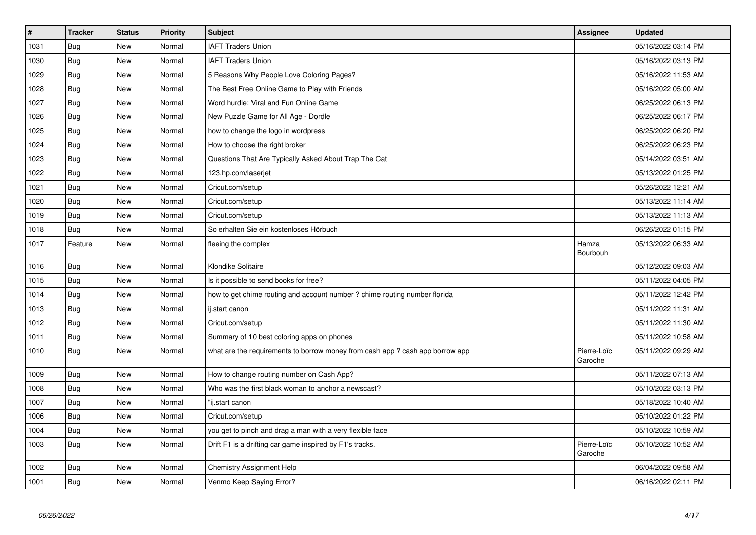| $\sharp$ | Tracker    | <b>Status</b> | <b>Priority</b> | <b>Subject</b>                                                               | Assignee               | <b>Updated</b>      |
|----------|------------|---------------|-----------------|------------------------------------------------------------------------------|------------------------|---------------------|
| 1031     | Bug        | <b>New</b>    | Normal          | <b>IAFT Traders Union</b>                                                    |                        | 05/16/2022 03:14 PM |
| 1030     | <b>Bug</b> | New           | Normal          | <b>IAFT Traders Union</b>                                                    |                        | 05/16/2022 03:13 PM |
| 1029     | Bug        | New           | Normal          | 5 Reasons Why People Love Coloring Pages?                                    |                        | 05/16/2022 11:53 AM |
| 1028     | <b>Bug</b> | New           | Normal          | The Best Free Online Game to Play with Friends                               |                        | 05/16/2022 05:00 AM |
| 1027     | Bug        | New           | Normal          | Word hurdle: Viral and Fun Online Game                                       |                        | 06/25/2022 06:13 PM |
| 1026     | Bug        | <b>New</b>    | Normal          | New Puzzle Game for All Age - Dordle                                         |                        | 06/25/2022 06:17 PM |
| 1025     | Bug        | New           | Normal          | how to change the logo in wordpress                                          |                        | 06/25/2022 06:20 PM |
| 1024     | Bug        | New           | Normal          | How to choose the right broker                                               |                        | 06/25/2022 06:23 PM |
| 1023     | <b>Bug</b> | New           | Normal          | Questions That Are Typically Asked About Trap The Cat                        |                        | 05/14/2022 03:51 AM |
| 1022     | Bug        | New           | Normal          | 123.hp.com/laserjet                                                          |                        | 05/13/2022 01:25 PM |
| 1021     | <b>Bug</b> | New           | Normal          | Cricut.com/setup                                                             |                        | 05/26/2022 12:21 AM |
| 1020     | Bug        | <b>New</b>    | Normal          | Cricut.com/setup                                                             |                        | 05/13/2022 11:14 AM |
| 1019     | <b>Bug</b> | <b>New</b>    | Normal          | Cricut.com/setup                                                             |                        | 05/13/2022 11:13 AM |
| 1018     | Bug        | <b>New</b>    | Normal          | So erhalten Sie ein kostenloses Hörbuch                                      |                        | 06/26/2022 01:15 PM |
| 1017     | Feature    | <b>New</b>    | Normal          | fleeing the complex                                                          | Hamza<br>Bourbouh      | 05/13/2022 06:33 AM |
| 1016     | Bug        | <b>New</b>    | Normal          | Klondike Solitaire                                                           |                        | 05/12/2022 09:03 AM |
| 1015     | <b>Bug</b> | New           | Normal          | Is it possible to send books for free?                                       |                        | 05/11/2022 04:05 PM |
| 1014     | Bug        | <b>New</b>    | Normal          | how to get chime routing and account number ? chime routing number florida   |                        | 05/11/2022 12:42 PM |
| 1013     | <b>Bug</b> | New           | Normal          | ij.start canon                                                               |                        | 05/11/2022 11:31 AM |
| 1012     | Bug        | New           | Normal          | Cricut.com/setup                                                             |                        | 05/11/2022 11:30 AM |
| 1011     | <b>Bug</b> | New           | Normal          | Summary of 10 best coloring apps on phones                                   |                        | 05/11/2022 10:58 AM |
| 1010     | Bug        | New           | Normal          | what are the requirements to borrow money from cash app? cash app borrow app | Pierre-Loïc<br>Garoche | 05/11/2022 09:29 AM |
| 1009     | Bug        | <b>New</b>    | Normal          | How to change routing number on Cash App?                                    |                        | 05/11/2022 07:13 AM |
| 1008     | <b>Bug</b> | <b>New</b>    | Normal          | Who was the first black woman to anchor a newscast?                          |                        | 05/10/2022 03:13 PM |
| 1007     | <b>Bug</b> | <b>New</b>    | Normal          | "ij.start canon                                                              |                        | 05/18/2022 10:40 AM |
| 1006     | Bug        | New           | Normal          | Cricut.com/setup                                                             |                        | 05/10/2022 01:22 PM |
| 1004     | <b>Bug</b> | New           | Normal          | you get to pinch and drag a man with a very flexible face                    |                        | 05/10/2022 10:59 AM |
| 1003     | Bug        | New           | Normal          | Drift F1 is a drifting car game inspired by F1's tracks.                     | Pierre-Loïc<br>Garoche | 05/10/2022 10:52 AM |
| 1002     | Bug        | New           | Normal          | <b>Chemistry Assignment Help</b>                                             |                        | 06/04/2022 09:58 AM |
| 1001     | <b>Bug</b> | <b>New</b>    | Normal          | Venmo Keep Saying Error?                                                     |                        | 06/16/2022 02:11 PM |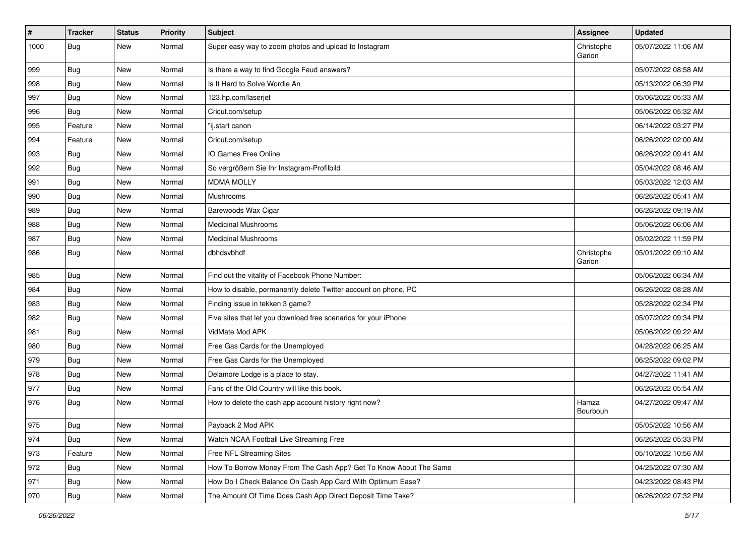| $\pmb{\#}$ | <b>Tracker</b> | <b>Status</b> | <b>Priority</b> | Subject                                                           | Assignee                 | <b>Updated</b>      |
|------------|----------------|---------------|-----------------|-------------------------------------------------------------------|--------------------------|---------------------|
| 1000       | Bug            | New           | Normal          | Super easy way to zoom photos and upload to Instagram             | Christophe<br>Garion     | 05/07/2022 11:06 AM |
| 999        | Bug            | New           | Normal          | Is there a way to find Google Feud answers?                       |                          | 05/07/2022 08:58 AM |
| 998        | <b>Bug</b>     | <b>New</b>    | Normal          | Is It Hard to Solve Wordle An                                     |                          | 05/13/2022 06:39 PM |
| 997        | Bug            | <b>New</b>    | Normal          | 123.hp.com/laserjet                                               |                          | 05/06/2022 05:33 AM |
| 996        | <b>Bug</b>     | New           | Normal          | Cricut.com/setup                                                  |                          | 05/06/2022 05:32 AM |
| 995        | Feature        | New           | Normal          | "ij.start canon                                                   |                          | 06/14/2022 03:27 PM |
| 994        | Feature        | New           | Normal          | Cricut.com/setup                                                  |                          | 06/26/2022 02:00 AM |
| 993        | Bug            | New           | Normal          | IO Games Free Online                                              |                          | 06/26/2022 09:41 AM |
| 992        | Bug            | <b>New</b>    | Normal          | So vergrößern Sie Ihr Instagram-Profilbild                        |                          | 05/04/2022 08:46 AM |
| 991        | Bug            | New           | Normal          | <b>MDMA MOLLY</b>                                                 |                          | 05/03/2022 12:03 AM |
| 990        | Bug            | New           | Normal          | Mushrooms                                                         |                          | 06/26/2022 05:41 AM |
| 989        | <b>Bug</b>     | New           | Normal          | Barewoods Wax Cigar                                               |                          | 06/26/2022 09:19 AM |
| 988        | Bug            | <b>New</b>    | Normal          | <b>Medicinal Mushrooms</b>                                        |                          | 05/06/2022 06:06 AM |
| 987        | Bug            | <b>New</b>    | Normal          | <b>Medicinal Mushrooms</b>                                        |                          | 05/02/2022 11:59 PM |
| 986        | Bug            | New           | Normal          | dbhdsvbhdf                                                        | Christophe<br>Garion     | 05/01/2022 09:10 AM |
| 985        | <b>Bug</b>     | New           | Normal          | Find out the vitality of Facebook Phone Number:                   |                          | 05/06/2022 06:34 AM |
| 984        | Bug            | New           | Normal          | How to disable, permanently delete Twitter account on phone, PC   |                          | 06/26/2022 08:28 AM |
| 983        | Bug            | <b>New</b>    | Normal          | Finding issue in tekken 3 game?                                   |                          | 05/28/2022 02:34 PM |
| 982        | <b>Bug</b>     | New           | Normal          | Five sites that let you download free scenarios for your iPhone   |                          | 05/07/2022 09:34 PM |
| 981        | <b>Bug</b>     | New           | Normal          | VidMate Mod APK                                                   |                          | 05/06/2022 09:22 AM |
| 980        | Bug            | <b>New</b>    | Normal          | Free Gas Cards for the Unemployed                                 |                          | 04/28/2022 06:25 AM |
| 979        | <b>Bug</b>     | New           | Normal          | Free Gas Cards for the Unemployed                                 |                          | 06/25/2022 09:02 PM |
| 978        | <b>Bug</b>     | New           | Normal          | Delamore Lodge is a place to stay.                                |                          | 04/27/2022 11:41 AM |
| 977        | Bug            | <b>New</b>    | Normal          | Fans of the Old Country will like this book.                      |                          | 06/26/2022 05:54 AM |
| 976        | <b>Bug</b>     | New           | Normal          | How to delete the cash app account history right now?             | Hamza<br><b>Bourbouh</b> | 04/27/2022 09:47 AM |
| 975        | Bug            | New           | Normal          | Payback 2 Mod APK                                                 |                          | 05/05/2022 10:56 AM |
| 974        | Bug            | New           | Normal          | Watch NCAA Football Live Streaming Free                           |                          | 06/26/2022 05:33 PM |
| 973        | Feature        | New           | Normal          | Free NFL Streaming Sites                                          |                          | 05/10/2022 10:56 AM |
| 972        | <b>Bug</b>     | New           | Normal          | How To Borrow Money From The Cash App? Get To Know About The Same |                          | 04/25/2022 07:30 AM |
| 971        | Bug            | New           | Normal          | How Do I Check Balance On Cash App Card With Optimum Ease?        |                          | 04/23/2022 08:43 PM |
| 970        | Bug            | New           | Normal          | The Amount Of Time Does Cash App Direct Deposit Time Take?        |                          | 06/26/2022 07:32 PM |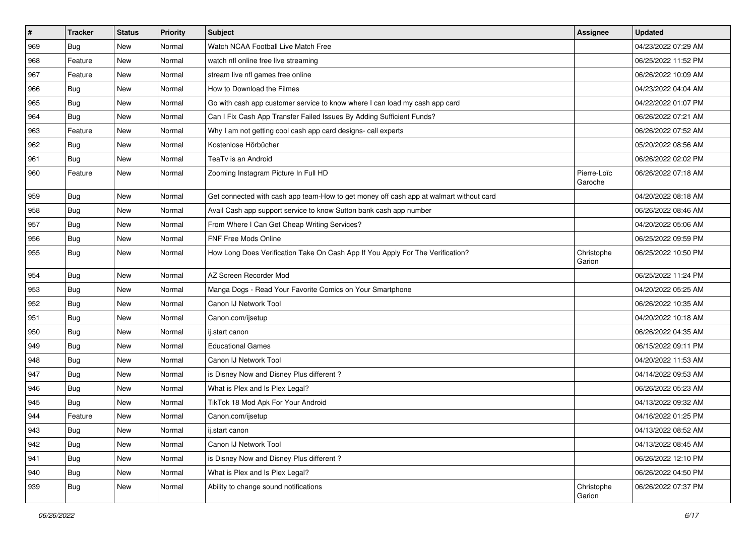| $\vert$ # | <b>Tracker</b> | <b>Status</b> | <b>Priority</b> | Subject                                                                                | Assignee               | <b>Updated</b>      |
|-----------|----------------|---------------|-----------------|----------------------------------------------------------------------------------------|------------------------|---------------------|
| 969       | <b>Bug</b>     | New           | Normal          | Watch NCAA Football Live Match Free                                                    |                        | 04/23/2022 07:29 AM |
| 968       | Feature        | <b>New</b>    | Normal          | watch nfl online free live streaming                                                   |                        | 06/25/2022 11:52 PM |
| 967       | Feature        | New           | Normal          | stream live nfl games free online                                                      |                        | 06/26/2022 10:09 AM |
| 966       | <b>Bug</b>     | New           | Normal          | How to Download the Filmes                                                             |                        | 04/23/2022 04:04 AM |
| 965       | Bug            | <b>New</b>    | Normal          | Go with cash app customer service to know where I can load my cash app card            |                        | 04/22/2022 01:07 PM |
| 964       | Bug            | New           | Normal          | Can I Fix Cash App Transfer Failed Issues By Adding Sufficient Funds?                  |                        | 06/26/2022 07:21 AM |
| 963       | Feature        | New           | Normal          | Why I am not getting cool cash app card designs- call experts                          |                        | 06/26/2022 07:52 AM |
| 962       | <b>Bug</b>     | New           | Normal          | Kostenlose Hörbücher                                                                   |                        | 05/20/2022 08:56 AM |
| 961       | Bug            | <b>New</b>    | Normal          | TeaTv is an Android                                                                    |                        | 06/26/2022 02:02 PM |
| 960       | Feature        | <b>New</b>    | Normal          | Zooming Instagram Picture In Full HD                                                   | Pierre-Loïc<br>Garoche | 06/26/2022 07:18 AM |
| 959       | <b>Bug</b>     | <b>New</b>    | Normal          | Get connected with cash app team-How to get money off cash app at walmart without card |                        | 04/20/2022 08:18 AM |
| 958       | <b>Bug</b>     | <b>New</b>    | Normal          | Avail Cash app support service to know Sutton bank cash app number                     |                        | 06/26/2022 08:46 AM |
| 957       | <b>Bug</b>     | New           | Normal          | From Where I Can Get Cheap Writing Services?                                           |                        | 04/20/2022 05:06 AM |
| 956       | <b>Bug</b>     | <b>New</b>    | Normal          | FNF Free Mods Online                                                                   |                        | 06/25/2022 09:59 PM |
| 955       | <b>Bug</b>     | New           | Normal          | How Long Does Verification Take On Cash App If You Apply For The Verification?         | Christophe<br>Garion   | 06/25/2022 10:50 PM |
| 954       | Bug            | <b>New</b>    | Normal          | AZ Screen Recorder Mod                                                                 |                        | 06/25/2022 11:24 PM |
| 953       | <b>Bug</b>     | New           | Normal          | Manga Dogs - Read Your Favorite Comics on Your Smartphone                              |                        | 04/20/2022 05:25 AM |
| 952       | Bug            | New           | Normal          | Canon IJ Network Tool                                                                  |                        | 06/26/2022 10:35 AM |
| 951       | <b>Bug</b>     | <b>New</b>    | Normal          | Canon.com/ijsetup                                                                      |                        | 04/20/2022 10:18 AM |
| 950       | Bug            | <b>New</b>    | Normal          | ij.start canon                                                                         |                        | 06/26/2022 04:35 AM |
| 949       | <b>Bug</b>     | <b>New</b>    | Normal          | <b>Educational Games</b>                                                               |                        | 06/15/2022 09:11 PM |
| 948       | <b>Bug</b>     | New           | Normal          | Canon IJ Network Tool                                                                  |                        | 04/20/2022 11:53 AM |
| 947       | <b>Bug</b>     | New           | Normal          | is Disney Now and Disney Plus different?                                               |                        | 04/14/2022 09:53 AM |
| 946       | Bug            | <b>New</b>    | Normal          | What is Plex and Is Plex Legal?                                                        |                        | 06/26/2022 05:23 AM |
| 945       | <b>Bug</b>     | New           | Normal          | TikTok 18 Mod Apk For Your Android                                                     |                        | 04/13/2022 09:32 AM |
| 944       | Feature        | New           | Normal          | Canon.com/ijsetup                                                                      |                        | 04/16/2022 01:25 PM |
| 943       | Bug            | New           | Normal          | ij.start canon                                                                         |                        | 04/13/2022 08:52 AM |
| 942       | Bug            | New           | Normal          | Canon IJ Network Tool                                                                  |                        | 04/13/2022 08:45 AM |
| 941       | Bug            | <b>New</b>    | Normal          | is Disney Now and Disney Plus different?                                               |                        | 06/26/2022 12:10 PM |
| 940       | Bug            | New           | Normal          | What is Plex and Is Plex Legal?                                                        |                        | 06/26/2022 04:50 PM |
| 939       | <b>Bug</b>     | New           | Normal          | Ability to change sound notifications                                                  | Christophe<br>Garion   | 06/26/2022 07:37 PM |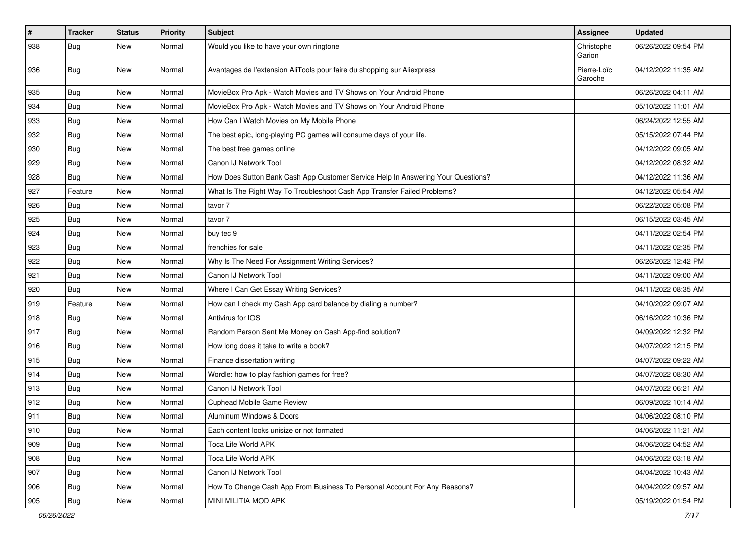| $\vert$ #     | Tracker    | <b>Status</b> | <b>Priority</b> | Subject                                                                          | Assignee               | <b>Updated</b>      |
|---------------|------------|---------------|-----------------|----------------------------------------------------------------------------------|------------------------|---------------------|
| 938           | <b>Bug</b> | New           | Normal          | Would you like to have your own ringtone                                         | Christophe<br>Garion   | 06/26/2022 09:54 PM |
| 936           | Bug        | New           | Normal          | Avantages de l'extension AliTools pour faire du shopping sur Aliexpress          | Pierre-Loïc<br>Garoche | 04/12/2022 11:35 AM |
| 935           | Bug        | <b>New</b>    | Normal          | MovieBox Pro Apk - Watch Movies and TV Shows on Your Android Phone               |                        | 06/26/2022 04:11 AM |
| 934           | <b>Bug</b> | New           | Normal          | MovieBox Pro Apk - Watch Movies and TV Shows on Your Android Phone               |                        | 05/10/2022 11:01 AM |
| 933           | <b>Bug</b> | New           | Normal          | How Can I Watch Movies on My Mobile Phone                                        |                        | 06/24/2022 12:55 AM |
| 932           | <b>Bug</b> | New           | Normal          | The best epic, long-playing PC games will consume days of your life.             |                        | 05/15/2022 07:44 PM |
| 930           | <b>Bug</b> | <b>New</b>    | Normal          | The best free games online                                                       |                        | 04/12/2022 09:05 AM |
| 929           | Bug        | <b>New</b>    | Normal          | Canon IJ Network Tool                                                            |                        | 04/12/2022 08:32 AM |
| 928           | <b>Bug</b> | New           | Normal          | How Does Sutton Bank Cash App Customer Service Help In Answering Your Questions? |                        | 04/12/2022 11:36 AM |
| 927           | Feature    | New           | Normal          | What Is The Right Way To Troubleshoot Cash App Transfer Failed Problems?         |                        | 04/12/2022 05:54 AM |
| 926           | Bug        | New           | Normal          | tavor 7                                                                          |                        | 06/22/2022 05:08 PM |
| 925           | <b>Bug</b> | New           | Normal          | tavor 7                                                                          |                        | 06/15/2022 03:45 AM |
| 924           | Bug        | <b>New</b>    | Normal          | buy tec 9                                                                        |                        | 04/11/2022 02:54 PM |
| 923           | Bug        | New           | Normal          | frenchies for sale                                                               |                        | 04/11/2022 02:35 PM |
| 922           | Bug        | New           | Normal          | Why Is The Need For Assignment Writing Services?                                 |                        | 06/26/2022 12:42 PM |
| 921           | Bug        | <b>New</b>    | Normal          | Canon IJ Network Tool                                                            |                        | 04/11/2022 09:00 AM |
| 920           | Bug        | New           | Normal          | Where I Can Get Essay Writing Services?                                          |                        | 04/11/2022 08:35 AM |
| 919           | Feature    | New           | Normal          | How can I check my Cash App card balance by dialing a number?                    |                        | 04/10/2022 09:07 AM |
| 918           | <b>Bug</b> | New           | Normal          | Antivirus for IOS                                                                |                        | 06/16/2022 10:36 PM |
| 917           | <b>Bug</b> | New           | Normal          | Random Person Sent Me Money on Cash App-find solution?                           |                        | 04/09/2022 12:32 PM |
| 916           | Bug        | <b>New</b>    | Normal          | How long does it take to write a book?                                           |                        | 04/07/2022 12:15 PM |
| 915           | <b>Bug</b> | New           | Normal          | Finance dissertation writing                                                     |                        | 04/07/2022 09:22 AM |
| 914           | Bug        | New           | Normal          | Wordle: how to play fashion games for free?                                      |                        | 04/07/2022 08:30 AM |
| 913           | Bug        | New           | Normal          | Canon IJ Network Tool                                                            |                        | 04/07/2022 06:21 AM |
| 912           | <b>Bug</b> | <b>New</b>    | Normal          | Cuphead Mobile Game Review                                                       |                        | 06/09/2022 10:14 AM |
| 911           | <b>Bug</b> | New           | Normal          | Aluminum Windows & Doors                                                         |                        | 04/06/2022 08:10 PM |
| $ 910\rangle$ | <b>Bug</b> | New           | Normal          | Each content looks unisize or not formated                                       |                        | 04/06/2022 11:21 AM |
| 909           | <b>Bug</b> | New           | Normal          | Toca Life World APK                                                              |                        | 04/06/2022 04:52 AM |
| 908           | <b>Bug</b> | New           | Normal          | Toca Life World APK                                                              |                        | 04/06/2022 03:18 AM |
| 907           | Bug        | New           | Normal          | Canon IJ Network Tool                                                            |                        | 04/04/2022 10:43 AM |
| 906           | Bug        | <b>New</b>    | Normal          | How To Change Cash App From Business To Personal Account For Any Reasons?        |                        | 04/04/2022 09:57 AM |
| 905           | <b>Bug</b> | New           | Normal          | MINI MILITIA MOD APK                                                             |                        | 05/19/2022 01:54 PM |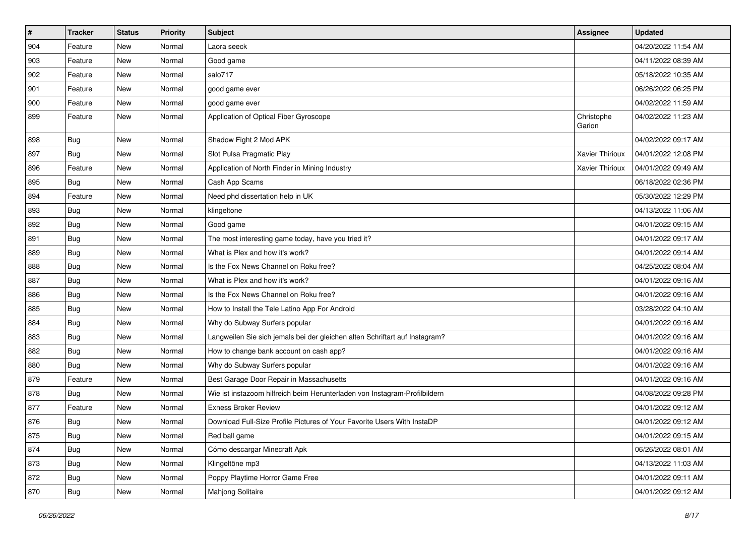| $\vert$ # | <b>Tracker</b> | <b>Status</b> | <b>Priority</b> | Subject                                                                     | Assignee               | <b>Updated</b>      |
|-----------|----------------|---------------|-----------------|-----------------------------------------------------------------------------|------------------------|---------------------|
| 904       | Feature        | New           | Normal          | Laora seeck                                                                 |                        | 04/20/2022 11:54 AM |
| 903       | Feature        | <b>New</b>    | Normal          | Good game                                                                   |                        | 04/11/2022 08:39 AM |
| 902       | Feature        | New           | Normal          | salo717                                                                     |                        | 05/18/2022 10:35 AM |
| 901       | Feature        | New           | Normal          | good game ever                                                              |                        | 06/26/2022 06:25 PM |
| 900       | Feature        | <b>New</b>    | Normal          | good game ever                                                              |                        | 04/02/2022 11:59 AM |
| 899       | Feature        | New           | Normal          | Application of Optical Fiber Gyroscope                                      | Christophe<br>Garion   | 04/02/2022 11:23 AM |
| 898       | Bug            | <b>New</b>    | Normal          | Shadow Fight 2 Mod APK                                                      |                        | 04/02/2022 09:17 AM |
| 897       | <b>Bug</b>     | <b>New</b>    | Normal          | Slot Pulsa Pragmatic Play                                                   | <b>Xavier Thirioux</b> | 04/01/2022 12:08 PM |
| 896       | Feature        | <b>New</b>    | Normal          | Application of North Finder in Mining Industry                              | Xavier Thirioux        | 04/01/2022 09:49 AM |
| 895       | <b>Bug</b>     | New           | Normal          | Cash App Scams                                                              |                        | 06/18/2022 02:36 PM |
| 894       | Feature        | New           | Normal          | Need phd dissertation help in UK                                            |                        | 05/30/2022 12:29 PM |
| 893       | Bug            | <b>New</b>    | Normal          | klingeltone                                                                 |                        | 04/13/2022 11:06 AM |
| 892       | <b>Bug</b>     | <b>New</b>    | Normal          | Good game                                                                   |                        | 04/01/2022 09:15 AM |
| 891       | <b>Bug</b>     | <b>New</b>    | Normal          | The most interesting game today, have you tried it?                         |                        | 04/01/2022 09:17 AM |
| 889       | <b>Bug</b>     | New           | Normal          | What is Plex and how it's work?                                             |                        | 04/01/2022 09:14 AM |
| 888       | Bug            | New           | Normal          | Is the Fox News Channel on Roku free?                                       |                        | 04/25/2022 08:04 AM |
| 887       | Bug            | <b>New</b>    | Normal          | What is Plex and how it's work?                                             |                        | 04/01/2022 09:16 AM |
| 886       | <b>Bug</b>     | New           | Normal          | Is the Fox News Channel on Roku free?                                       |                        | 04/01/2022 09:16 AM |
| 885       | <b>Bug</b>     | <b>New</b>    | Normal          | How to Install the Tele Latino App For Android                              |                        | 03/28/2022 04:10 AM |
| 884       | <b>Bug</b>     | New           | Normal          | Why do Subway Surfers popular                                               |                        | 04/01/2022 09:16 AM |
| 883       | <b>Bug</b>     | <b>New</b>    | Normal          | Langweilen Sie sich jemals bei der gleichen alten Schriftart auf Instagram? |                        | 04/01/2022 09:16 AM |
| 882       | Bug            | <b>New</b>    | Normal          | How to change bank account on cash app?                                     |                        | 04/01/2022 09:16 AM |
| 880       | <b>Bug</b>     | New           | Normal          | Why do Subway Surfers popular                                               |                        | 04/01/2022 09:16 AM |
| 879       | Feature        | New           | Normal          | Best Garage Door Repair in Massachusetts                                    |                        | 04/01/2022 09:16 AM |
| 878       | <b>Bug</b>     | New           | Normal          | Wie ist instazoom hilfreich beim Herunterladen von Instagram-Profilbildern  |                        | 04/08/2022 09:28 PM |
| 877       | Feature        | <b>New</b>    | Normal          | <b>Exness Broker Review</b>                                                 |                        | 04/01/2022 09:12 AM |
| 876       | <b>Bug</b>     | New           | Normal          | Download Full-Size Profile Pictures of Your Favorite Users With InstaDP     |                        | 04/01/2022 09:12 AM |
| 875       | <b>Bug</b>     | New           | Normal          | Red ball game                                                               |                        | 04/01/2022 09:15 AM |
| 874       | Bug            | New           | Normal          | Cómo descargar Minecraft Apk                                                |                        | 06/26/2022 08:01 AM |
| 873       | <b>Bug</b>     | New           | Normal          | Klingeltöne mp3                                                             |                        | 04/13/2022 11:03 AM |
| 872       | <b>Bug</b>     | New           | Normal          | Poppy Playtime Horror Game Free                                             |                        | 04/01/2022 09:11 AM |
| 870       | <b>Bug</b>     | <b>New</b>    | Normal          | Mahjong Solitaire                                                           |                        | 04/01/2022 09:12 AM |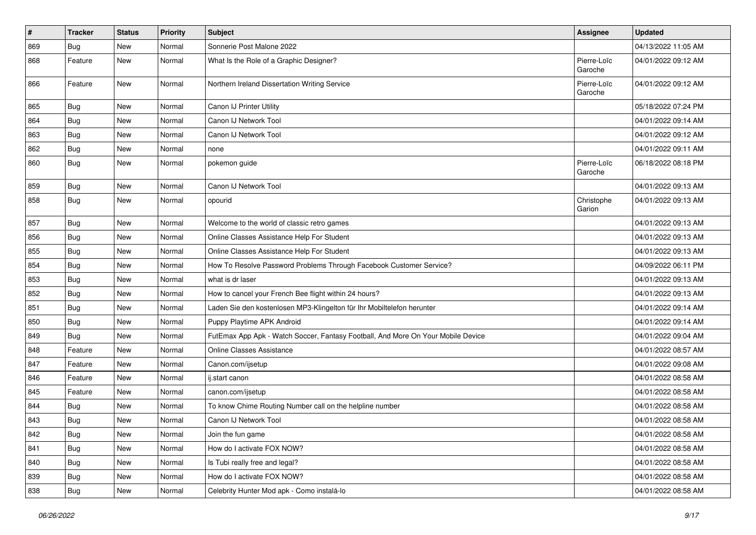| $\vert$ # | <b>Tracker</b> | <b>Status</b> | <b>Priority</b> | Subject                                                                          | Assignee               | <b>Updated</b>      |
|-----------|----------------|---------------|-----------------|----------------------------------------------------------------------------------|------------------------|---------------------|
| 869       | <b>Bug</b>     | New           | Normal          | Sonnerie Post Malone 2022                                                        |                        | 04/13/2022 11:05 AM |
| 868       | Feature        | <b>New</b>    | Normal          | What Is the Role of a Graphic Designer?                                          | Pierre-Loïc<br>Garoche | 04/01/2022 09:12 AM |
| 866       | Feature        | <b>New</b>    | Normal          | Northern Ireland Dissertation Writing Service                                    | Pierre-Loïc<br>Garoche | 04/01/2022 09:12 AM |
| 865       | <b>Bug</b>     | <b>New</b>    | Normal          | Canon IJ Printer Utility                                                         |                        | 05/18/2022 07:24 PM |
| 864       | <b>Bug</b>     | New           | Normal          | Canon IJ Network Tool                                                            |                        | 04/01/2022 09:14 AM |
| 863       | <b>Bug</b>     | <b>New</b>    | Normal          | Canon IJ Network Tool                                                            |                        | 04/01/2022 09:12 AM |
| 862       | <b>Bug</b>     | New           | Normal          | none                                                                             |                        | 04/01/2022 09:11 AM |
| 860       | <b>Bug</b>     | New           | Normal          | pokemon guide                                                                    | Pierre-Loïc<br>Garoche | 06/18/2022 08:18 PM |
| 859       | <b>Bug</b>     | <b>New</b>    | Normal          | Canon IJ Network Tool                                                            |                        | 04/01/2022 09:13 AM |
| 858       | <b>Bug</b>     | <b>New</b>    | Normal          | opourid                                                                          | Christophe<br>Garion   | 04/01/2022 09:13 AM |
| 857       | <b>Bug</b>     | New           | Normal          | Welcome to the world of classic retro games                                      |                        | 04/01/2022 09:13 AM |
| 856       | Bug            | <b>New</b>    | Normal          | Online Classes Assistance Help For Student                                       |                        | 04/01/2022 09:13 AM |
| 855       | <b>Bug</b>     | <b>New</b>    | Normal          | Online Classes Assistance Help For Student                                       |                        | 04/01/2022 09:13 AM |
| 854       | <b>Bug</b>     | <b>New</b>    | Normal          | How To Resolve Password Problems Through Facebook Customer Service?              |                        | 04/09/2022 06:11 PM |
| 853       | Bug            | New           | Normal          | what is dr laser                                                                 |                        | 04/01/2022 09:13 AM |
| 852       | <b>Bug</b>     | New           | Normal          | How to cancel your French Bee flight within 24 hours?                            |                        | 04/01/2022 09:13 AM |
| 851       | Bug            | <b>New</b>    | Normal          | Laden Sie den kostenlosen MP3-Klingelton für Ihr Mobiltelefon herunter           |                        | 04/01/2022 09:14 AM |
| 850       | Bug            | New           | Normal          | Puppy Playtime APK Android                                                       |                        | 04/01/2022 09:14 AM |
| 849       | <b>Bug</b>     | <b>New</b>    | Normal          | FutEmax App Apk - Watch Soccer, Fantasy Football, And More On Your Mobile Device |                        | 04/01/2022 09:04 AM |
| 848       | Feature        | New           | Normal          | <b>Online Classes Assistance</b>                                                 |                        | 04/01/2022 08:57 AM |
| 847       | Feature        | <b>New</b>    | Normal          | Canon.com/ijsetup                                                                |                        | 04/01/2022 09:08 AM |
| 846       | Feature        | <b>New</b>    | Normal          | ij.start canon                                                                   |                        | 04/01/2022 08:58 AM |
| 845       | Feature        | New           | Normal          | canon.com/ijsetup                                                                |                        | 04/01/2022 08:58 AM |
| 844       | <b>Bug</b>     | New           | Normal          | To know Chime Routing Number call on the helpline number                         |                        | 04/01/2022 08:58 AM |
| 843       | <b>Bug</b>     | New           | Normal          | Canon IJ Network Tool                                                            |                        | 04/01/2022 08:58 AM |
| 842       | <b>Bug</b>     | New           | Normal          | Join the fun game                                                                |                        | 04/01/2022 08:58 AM |
| 841       | <b>Bug</b>     | <b>New</b>    | Normal          | How do I activate FOX NOW?                                                       |                        | 04/01/2022 08:58 AM |
| 840       | <b>Bug</b>     | New           | Normal          | Is Tubi really free and legal?                                                   |                        | 04/01/2022 08:58 AM |
| 839       | <b>Bug</b>     | New           | Normal          | How do I activate FOX NOW?                                                       |                        | 04/01/2022 08:58 AM |
| 838       | <b>Bug</b>     | New           | Normal          | Celebrity Hunter Mod apk - Como instalá-lo                                       |                        | 04/01/2022 08:58 AM |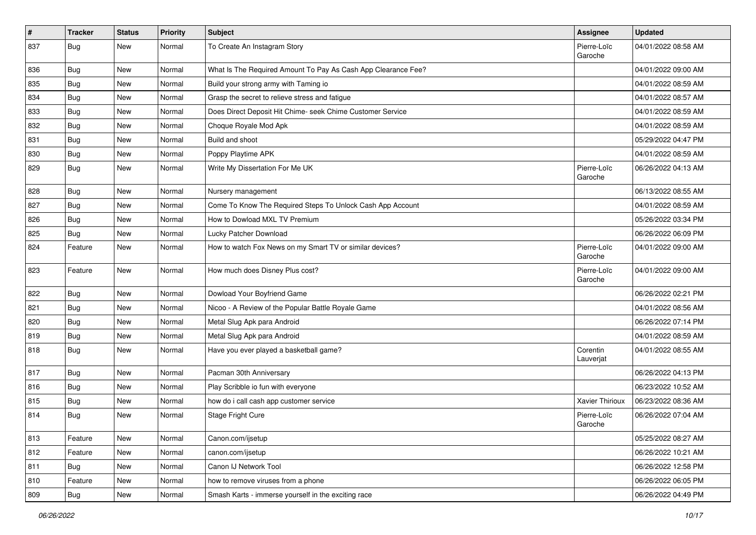| $\pmb{\#}$ | <b>Tracker</b> | <b>Status</b> | <b>Priority</b> | Subject                                                       | Assignee               | <b>Updated</b>      |
|------------|----------------|---------------|-----------------|---------------------------------------------------------------|------------------------|---------------------|
| 837        | Bug            | New           | Normal          | To Create An Instagram Story                                  | Pierre-Loïc<br>Garoche | 04/01/2022 08:58 AM |
| 836        | Bug            | New           | Normal          | What Is The Required Amount To Pay As Cash App Clearance Fee? |                        | 04/01/2022 09:00 AM |
| 835        | <b>Bug</b>     | New           | Normal          | Build your strong army with Taming io                         |                        | 04/01/2022 08:59 AM |
| 834        | Bug            | New           | Normal          | Grasp the secret to relieve stress and fatigue                |                        | 04/01/2022 08:57 AM |
| 833        | <b>Bug</b>     | New           | Normal          | Does Direct Deposit Hit Chime- seek Chime Customer Service    |                        | 04/01/2022 08:59 AM |
| 832        | <b>Bug</b>     | New           | Normal          | Choque Royale Mod Apk                                         |                        | 04/01/2022 08:59 AM |
| 831        | Bug            | New           | Normal          | Build and shoot                                               |                        | 05/29/2022 04:47 PM |
| 830        | <b>Bug</b>     | New           | Normal          | Poppy Playtime APK                                            |                        | 04/01/2022 08:59 AM |
| 829        | <b>Bug</b>     | New           | Normal          | Write My Dissertation For Me UK                               | Pierre-Loïc<br>Garoche | 06/26/2022 04:13 AM |
| 828        | <b>Bug</b>     | New           | Normal          | Nursery management                                            |                        | 06/13/2022 08:55 AM |
| 827        | Bug            | New           | Normal          | Come To Know The Required Steps To Unlock Cash App Account    |                        | 04/01/2022 08:59 AM |
| 826        | <b>Bug</b>     | New           | Normal          | How to Dowload MXL TV Premium                                 |                        | 05/26/2022 03:34 PM |
| 825        | Bug            | New           | Normal          | Lucky Patcher Download                                        |                        | 06/26/2022 06:09 PM |
| 824        | Feature        | New           | Normal          | How to watch Fox News on my Smart TV or similar devices?      | Pierre-Loïc<br>Garoche | 04/01/2022 09:00 AM |
| 823        | Feature        | New           | Normal          | How much does Disney Plus cost?                               | Pierre-Loïc<br>Garoche | 04/01/2022 09:00 AM |
| 822        | Bug            | New           | Normal          | Dowload Your Boyfriend Game                                   |                        | 06/26/2022 02:21 PM |
| 821        | <b>Bug</b>     | New           | Normal          | Nicoo - A Review of the Popular Battle Royale Game            |                        | 04/01/2022 08:56 AM |
| 820        | Bug            | New           | Normal          | Metal Slug Apk para Android                                   |                        | 06/26/2022 07:14 PM |
| 819        | <b>Bug</b>     | New           | Normal          | Metal Slug Apk para Android                                   |                        | 04/01/2022 08:59 AM |
| 818        | Bug            | New           | Normal          | Have you ever played a basketball game?                       | Corentin<br>Lauverjat  | 04/01/2022 08:55 AM |
| 817        | <b>Bug</b>     | New           | Normal          | Pacman 30th Anniversary                                       |                        | 06/26/2022 04:13 PM |
| 816        | <b>Bug</b>     | New           | Normal          | Play Scribble io fun with everyone                            |                        | 06/23/2022 10:52 AM |
| 815        | <b>Bug</b>     | New           | Normal          | how do i call cash app customer service                       | Xavier Thirioux        | 06/23/2022 08:36 AM |
| 814        | <b>Bug</b>     | New           | Normal          | Stage Fright Cure                                             | Pierre-Loïc<br>Garoche | 06/26/2022 07:04 AM |
| 813        | Feature        | New           | Normal          | Canon.com/ijsetup                                             |                        | 05/25/2022 08:27 AM |
| 812        | Feature        | New           | Normal          | canon.com/ijsetup                                             |                        | 06/26/2022 10:21 AM |
| 811        | <b>Bug</b>     | New           | Normal          | Canon IJ Network Tool                                         |                        | 06/26/2022 12:58 PM |
| 810        | Feature        | <b>New</b>    | Normal          | how to remove viruses from a phone                            |                        | 06/26/2022 06:05 PM |
| 809        | <b>Bug</b>     | New           | Normal          | Smash Karts - immerse yourself in the exciting race           |                        | 06/26/2022 04:49 PM |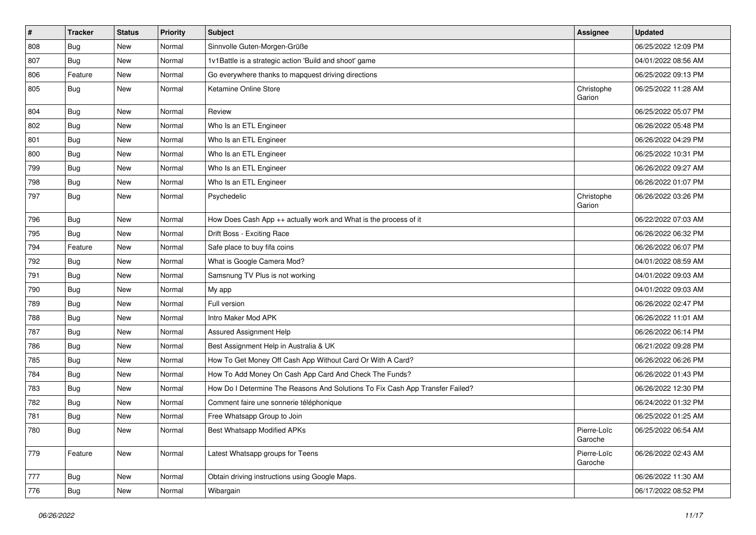| #   | <b>Tracker</b> | <b>Status</b> | <b>Priority</b> | Subject                                                                       | Assignee               | <b>Updated</b>      |
|-----|----------------|---------------|-----------------|-------------------------------------------------------------------------------|------------------------|---------------------|
| 808 | <b>Bug</b>     | New           | Normal          | Sinnvolle Guten-Morgen-Grüße                                                  |                        | 06/25/2022 12:09 PM |
| 807 | <b>Bug</b>     | <b>New</b>    | Normal          | 1v1Battle is a strategic action 'Build and shoot' game                        |                        | 04/01/2022 08:56 AM |
| 806 | Feature        | New           | Normal          | Go everywhere thanks to mapquest driving directions                           |                        | 06/25/2022 09:13 PM |
| 805 | <b>Bug</b>     | New           | Normal          | Ketamine Online Store                                                         | Christophe<br>Garion   | 06/25/2022 11:28 AM |
| 804 | <b>Bug</b>     | <b>New</b>    | Normal          | Review                                                                        |                        | 06/25/2022 05:07 PM |
| 802 | <b>Bug</b>     | <b>New</b>    | Normal          | Who Is an ETL Engineer                                                        |                        | 06/26/2022 05:48 PM |
| 801 | Bug            | New           | Normal          | Who Is an ETL Engineer                                                        |                        | 06/26/2022 04:29 PM |
| 800 | <b>Bug</b>     | <b>New</b>    | Normal          | Who Is an ETL Engineer                                                        |                        | 06/25/2022 10:31 PM |
| 799 | Bug            | <b>New</b>    | Normal          | Who Is an ETL Engineer                                                        |                        | 06/26/2022 09:27 AM |
| 798 | <b>Bug</b>     | New           | Normal          | Who Is an ETL Engineer                                                        |                        | 06/26/2022 01:07 PM |
| 797 | <b>Bug</b>     | New           | Normal          | Psychedelic                                                                   | Christophe<br>Garion   | 06/26/2022 03:26 PM |
| 796 | <b>Bug</b>     | <b>New</b>    | Normal          | How Does Cash App ++ actually work and What is the process of it              |                        | 06/22/2022 07:03 AM |
| 795 | <b>Bug</b>     | <b>New</b>    | Normal          | Drift Boss - Exciting Race                                                    |                        | 06/26/2022 06:32 PM |
| 794 | Feature        | New           | Normal          | Safe place to buy fifa coins                                                  |                        | 06/26/2022 06:07 PM |
| 792 | <b>Bug</b>     | New           | Normal          | What is Google Camera Mod?                                                    |                        | 04/01/2022 08:59 AM |
| 791 | <b>Bug</b>     | <b>New</b>    | Normal          | Samsnung TV Plus is not working                                               |                        | 04/01/2022 09:03 AM |
| 790 | Bug            | New           | Normal          | My app                                                                        |                        | 04/01/2022 09:03 AM |
| 789 | Bug            | New           | Normal          | Full version                                                                  |                        | 06/26/2022 02:47 PM |
| 788 | <b>Bug</b>     | New           | Normal          | Intro Maker Mod APK                                                           |                        | 06/26/2022 11:01 AM |
| 787 | <b>Bug</b>     | New           | Normal          | Assured Assignment Help                                                       |                        | 06/26/2022 06:14 PM |
| 786 | Bug            | <b>New</b>    | Normal          | Best Assignment Help in Australia & UK                                        |                        | 06/21/2022 09:28 PM |
| 785 | <b>Bug</b>     | New           | Normal          | How To Get Money Off Cash App Without Card Or With A Card?                    |                        | 06/26/2022 06:26 PM |
| 784 | Bug            | New           | Normal          | How To Add Money On Cash App Card And Check The Funds?                        |                        | 06/26/2022 01:43 PM |
| 783 | Bug            | New           | Normal          | How Do I Determine The Reasons And Solutions To Fix Cash App Transfer Failed? |                        | 06/26/2022 12:30 PM |
| 782 | Bug            | <b>New</b>    | Normal          | Comment faire une sonnerie téléphonique                                       |                        | 06/24/2022 01:32 PM |
| 781 | <b>Bug</b>     | New           | Normal          | Free Whatsapp Group to Join                                                   |                        | 06/25/2022 01:25 AM |
| 780 | <b>Bug</b>     | New           | Normal          | Best Whatsapp Modified APKs                                                   | Pierre-Loïc<br>Garoche | 06/25/2022 06:54 AM |
| 779 | Feature        | New           | Normal          | Latest Whatsapp groups for Teens                                              | Pierre-Loïc<br>Garoche | 06/26/2022 02:43 AM |
| 777 | Bug            | New           | Normal          | Obtain driving instructions using Google Maps.                                |                        | 06/26/2022 11:30 AM |
| 776 | <b>Bug</b>     | New           | Normal          | Wibargain                                                                     |                        | 06/17/2022 08:52 PM |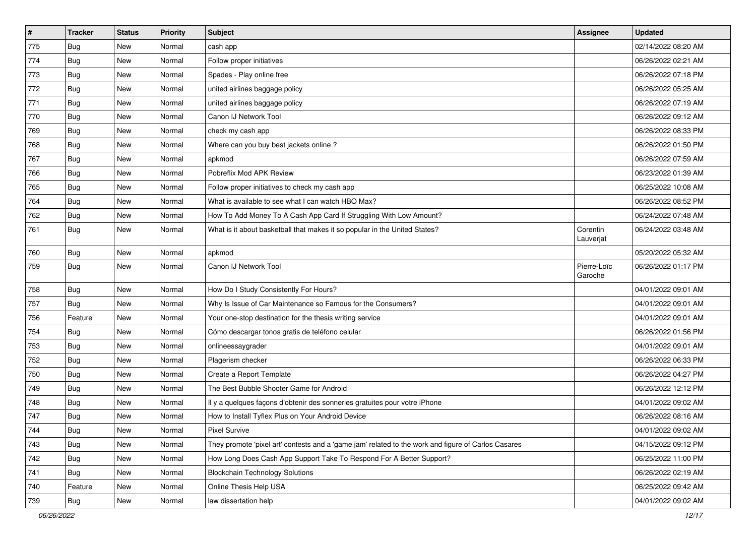| $\pmb{\sharp}$ | <b>Tracker</b> | <b>Status</b> | <b>Priority</b> | Subject                                                                                             | Assignee               | <b>Updated</b>      |
|----------------|----------------|---------------|-----------------|-----------------------------------------------------------------------------------------------------|------------------------|---------------------|
| 775            | <b>Bug</b>     | New           | Normal          | cash app                                                                                            |                        | 02/14/2022 08:20 AM |
| 774            | <b>Bug</b>     | New           | Normal          | Follow proper initiatives                                                                           |                        | 06/26/2022 02:21 AM |
| 773            | Bug            | New           | Normal          | Spades - Play online free                                                                           |                        | 06/26/2022 07:18 PM |
| 772            | Bug            | New           | Normal          | united airlines baggage policy                                                                      |                        | 06/26/2022 05:25 AM |
| 771            | <b>Bug</b>     | New           | Normal          | united airlines baggage policy                                                                      |                        | 06/26/2022 07:19 AM |
| 770            | Bug            | New           | Normal          | Canon IJ Network Tool                                                                               |                        | 06/26/2022 09:12 AM |
| 769            | Bug            | New           | Normal          | check my cash app                                                                                   |                        | 06/26/2022 08:33 PM |
| 768            | Bug            | New           | Normal          | Where can you buy best jackets online?                                                              |                        | 06/26/2022 01:50 PM |
| 767            | Bug            | New           | Normal          | apkmod                                                                                              |                        | 06/26/2022 07:59 AM |
| 766            | Bug            | New           | Normal          | Pobreflix Mod APK Review                                                                            |                        | 06/23/2022 01:39 AM |
| 765            | <b>Bug</b>     | New           | Normal          | Follow proper initiatives to check my cash app                                                      |                        | 06/25/2022 10:08 AM |
| 764            | Bug            | New           | Normal          | What is available to see what I can watch HBO Max?                                                  |                        | 06/26/2022 08:52 PM |
| 762            | Bug            | New           | Normal          | How To Add Money To A Cash App Card If Struggling With Low Amount?                                  |                        | 06/24/2022 07:48 AM |
| 761            | <b>Bug</b>     | New           | Normal          | What is it about basketball that makes it so popular in the United States?                          | Corentin<br>Lauverjat  | 06/24/2022 03:48 AM |
| 760            | Bug            | New           | Normal          | apkmod                                                                                              |                        | 05/20/2022 05:32 AM |
| 759            | <b>Bug</b>     | New           | Normal          | Canon IJ Network Tool                                                                               | Pierre-Loïc<br>Garoche | 06/26/2022 01:17 PM |
| 758            | <b>Bug</b>     | New           | Normal          | How Do I Study Consistently For Hours?                                                              |                        | 04/01/2022 09:01 AM |
| 757            | Bug            | New           | Normal          | Why Is Issue of Car Maintenance so Famous for the Consumers?                                        |                        | 04/01/2022 09:01 AM |
| 756            | Feature        | New           | Normal          | Your one-stop destination for the thesis writing service                                            |                        | 04/01/2022 09:01 AM |
| 754            | Bug            | New           | Normal          | Cómo descargar tonos gratis de teléfono celular                                                     |                        | 06/26/2022 01:56 PM |
| 753            | Bug            | New           | Normal          | onlineessaygrader                                                                                   |                        | 04/01/2022 09:01 AM |
| 752            | <b>Bug</b>     | New           | Normal          | Plagerism checker                                                                                   |                        | 06/26/2022 06:33 PM |
| 750            | Bug            | New           | Normal          | Create a Report Template                                                                            |                        | 06/26/2022 04:27 PM |
| 749            | Bug            | New           | Normal          | The Best Bubble Shooter Game for Android                                                            |                        | 06/26/2022 12:12 PM |
| 748            | <b>Bug</b>     | New           | Normal          | Il y a quelques façons d'obtenir des sonneries gratuites pour votre iPhone                          |                        | 04/01/2022 09:02 AM |
| 747            | <b>Bug</b>     | New           | Normal          | How to Install Tyflex Plus on Your Android Device                                                   |                        | 06/26/2022 08:16 AM |
| 744            | Bug            | New           | Normal          | Pixel Survive                                                                                       |                        | 04/01/2022 09:02 AM |
| 743            | <b>Bug</b>     | New           | Normal          | They promote 'pixel art' contests and a 'game jam' related to the work and figure of Carlos Casares |                        | 04/15/2022 09:12 PM |
| 742            | <b>Bug</b>     | New           | Normal          | How Long Does Cash App Support Take To Respond For A Better Support?                                |                        | 06/25/2022 11:00 PM |
| 741            | <b>Bug</b>     | New           | Normal          | <b>Blockchain Technology Solutions</b>                                                              |                        | 06/26/2022 02:19 AM |
| 740            | Feature        | New           | Normal          | Online Thesis Help USA                                                                              |                        | 06/25/2022 09:42 AM |
| 739            | <b>Bug</b>     | New           | Normal          | law dissertation help                                                                               |                        | 04/01/2022 09:02 AM |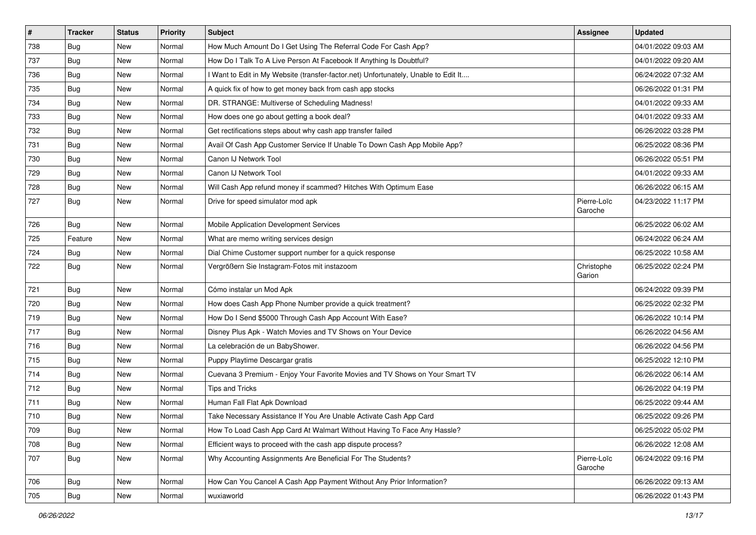| $\vert$ # | <b>Tracker</b> | <b>Status</b> | <b>Priority</b> | Subject                                                                             | Assignee               | <b>Updated</b>      |
|-----------|----------------|---------------|-----------------|-------------------------------------------------------------------------------------|------------------------|---------------------|
| 738       | Bug            | New           | Normal          | How Much Amount Do I Get Using The Referral Code For Cash App?                      |                        | 04/01/2022 09:03 AM |
| 737       | Bug            | <b>New</b>    | Normal          | How Do I Talk To A Live Person At Facebook If Anything Is Doubtful?                 |                        | 04/01/2022 09:20 AM |
| 736       | <b>Bug</b>     | New           | Normal          | I Want to Edit in My Website (transfer-factor.net) Unfortunately, Unable to Edit It |                        | 06/24/2022 07:32 AM |
| 735       | <b>Bug</b>     | New           | Normal          | A quick fix of how to get money back from cash app stocks                           |                        | 06/26/2022 01:31 PM |
| 734       | Bug            | <b>New</b>    | Normal          | DR. STRANGE: Multiverse of Scheduling Madness!                                      |                        | 04/01/2022 09:33 AM |
| 733       | <b>Bug</b>     | New           | Normal          | How does one go about getting a book deal?                                          |                        | 04/01/2022 09:33 AM |
| 732       | Bug            | New           | Normal          | Get rectifications steps about why cash app transfer failed                         |                        | 06/26/2022 03:28 PM |
| 731       | <b>Bug</b>     | New           | Normal          | Avail Of Cash App Customer Service If Unable To Down Cash App Mobile App?           |                        | 06/25/2022 08:36 PM |
| 730       | <b>Bug</b>     | <b>New</b>    | Normal          | Canon IJ Network Tool                                                               |                        | 06/26/2022 05:51 PM |
| 729       | Bug            | New           | Normal          | Canon IJ Network Tool                                                               |                        | 04/01/2022 09:33 AM |
| 728       | <b>Bug</b>     | New           | Normal          | Will Cash App refund money if scammed? Hitches With Optimum Ease                    |                        | 06/26/2022 06:15 AM |
| 727       | Bug            | New           | Normal          | Drive for speed simulator mod apk                                                   | Pierre-Loïc<br>Garoche | 04/23/2022 11:17 PM |
| 726       | <b>Bug</b>     | New           | Normal          | Mobile Application Development Services                                             |                        | 06/25/2022 06:02 AM |
| 725       | Feature        | New           | Normal          | What are memo writing services design                                               |                        | 06/24/2022 06:24 AM |
| 724       | <b>Bug</b>     | New           | Normal          | Dial Chime Customer support number for a quick response                             |                        | 06/25/2022 10:58 AM |
| 722       | <b>Bug</b>     | New           | Normal          | Vergrößern Sie Instagram-Fotos mit instazoom                                        | Christophe<br>Garion   | 06/25/2022 02:24 PM |
| 721       | <b>Bug</b>     | New           | Normal          | Cómo instalar un Mod Apk                                                            |                        | 06/24/2022 09:39 PM |
| 720       | <b>Bug</b>     | New           | Normal          | How does Cash App Phone Number provide a quick treatment?                           |                        | 06/25/2022 02:32 PM |
| 719       | Bug            | <b>New</b>    | Normal          | How Do I Send \$5000 Through Cash App Account With Ease?                            |                        | 06/26/2022 10:14 PM |
| 717       | Bug            | New           | Normal          | Disney Plus Apk - Watch Movies and TV Shows on Your Device                          |                        | 06/26/2022 04:56 AM |
| 716       | Bug            | New           | Normal          | La celebración de un BabyShower.                                                    |                        | 06/26/2022 04:56 PM |
| 715       | <b>Bug</b>     | New           | Normal          | Puppy Playtime Descargar gratis                                                     |                        | 06/25/2022 12:10 PM |
| 714       | Bug            | New           | Normal          | Cuevana 3 Premium - Enjoy Your Favorite Movies and TV Shows on Your Smart TV        |                        | 06/26/2022 06:14 AM |
| 712       | Bug            | New           | Normal          | <b>Tips and Tricks</b>                                                              |                        | 06/26/2022 04:19 PM |
| 711       | <b>Bug</b>     | New           | Normal          | Human Fall Flat Apk Download                                                        |                        | 06/25/2022 09:44 AM |
| 710       | <b>Bug</b>     | New           | Normal          | Take Necessary Assistance If You Are Unable Activate Cash App Card                  |                        | 06/25/2022 09:26 PM |
| 709       | Bug            | New           | Normal          | How To Load Cash App Card At Walmart Without Having To Face Any Hassle?             |                        | 06/25/2022 05:02 PM |
| 708       | Bug            | New           | Normal          | Efficient ways to proceed with the cash app dispute process?                        |                        | 06/26/2022 12:08 AM |
| 707       | <b>Bug</b>     | New           | Normal          | Why Accounting Assignments Are Beneficial For The Students?                         | Pierre-Loïc<br>Garoche | 06/24/2022 09:16 PM |
| 706       | Bug            | New           | Normal          | How Can You Cancel A Cash App Payment Without Any Prior Information?                |                        | 06/26/2022 09:13 AM |
| 705       | <b>Bug</b>     | New           | Normal          | wuxiaworld                                                                          |                        | 06/26/2022 01:43 PM |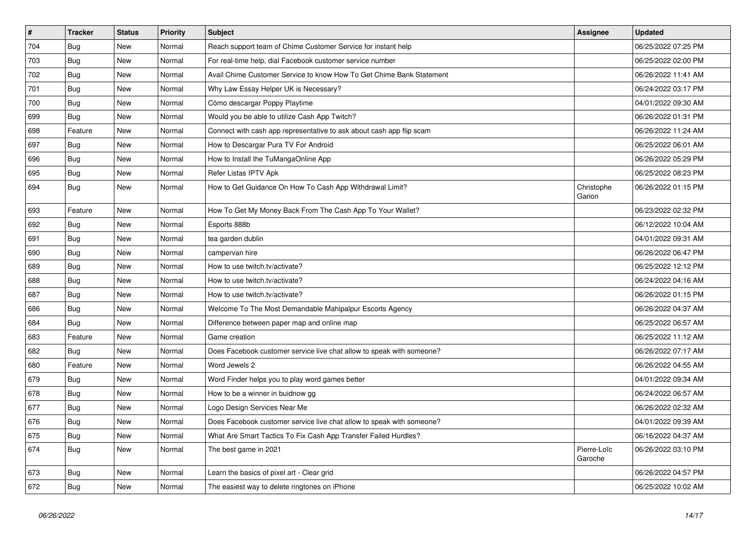| $\pmb{\sharp}$ | <b>Tracker</b> | <b>Status</b> | <b>Priority</b> | <b>Subject</b>                                                        | Assignee               | <b>Updated</b>      |
|----------------|----------------|---------------|-----------------|-----------------------------------------------------------------------|------------------------|---------------------|
| 704            | Bug            | New           | Normal          | Reach support team of Chime Customer Service for instant help         |                        | 06/25/2022 07:25 PM |
| 703            | Bug            | New           | Normal          | For real-time help, dial Facebook customer service number             |                        | 06/25/2022 02:00 PM |
| 702            | Bug            | New           | Normal          | Avail Chime Customer Service to know How To Get Chime Bank Statement  |                        | 06/26/2022 11:41 AM |
| 701            | <b>Bug</b>     | New           | Normal          | Why Law Essay Helper UK is Necessary?                                 |                        | 06/24/2022 03:17 PM |
| 700            | <b>Bug</b>     | New           | Normal          | Cómo descargar Poppy Playtime                                         |                        | 04/01/2022 09:30 AM |
| 699            | Bug            | New           | Normal          | Would you be able to utilize Cash App Twitch?                         |                        | 06/26/2022 01:31 PM |
| 698            | Feature        | New           | Normal          | Connect with cash app representative to ask about cash app flip scam  |                        | 06/26/2022 11:24 AM |
| 697            | Bug            | New           | Normal          | How to Descargar Pura TV For Android                                  |                        | 06/25/2022 06:01 AM |
| 696            | Bug            | New           | Normal          | How to Install the TuMangaOnline App                                  |                        | 06/26/2022 05:29 PM |
| 695            | <b>Bug</b>     | New           | Normal          | Refer Listas IPTV Apk                                                 |                        | 06/25/2022 08:23 PM |
| 694            | <b>Bug</b>     | New           | Normal          | How to Get Guidance On How To Cash App Withdrawal Limit?              | Christophe<br>Garion   | 06/26/2022 01:15 PM |
| 693            | Feature        | New           | Normal          | How To Get My Money Back From The Cash App To Your Wallet?            |                        | 06/23/2022 02:32 PM |
| 692            | Bug            | New           | Normal          | Esports 888b                                                          |                        | 06/12/2022 10:04 AM |
| 691            | <b>Bug</b>     | New           | Normal          | tea garden dublin                                                     |                        | 04/01/2022 09:31 AM |
| 690            | <b>Bug</b>     | New           | Normal          | campervan hire                                                        |                        | 06/26/2022 06:47 PM |
| 689            | Bug            | New           | Normal          | How to use twitch.tv/activate?                                        |                        | 06/25/2022 12:12 PM |
| 688            | Bug            | New           | Normal          | How to use twitch.tv/activate?                                        |                        | 06/24/2022 04:16 AM |
| 687            | Bug            | New           | Normal          | How to use twitch.tv/activate?                                        |                        | 06/26/2022 01:15 PM |
| 686            | <b>Bug</b>     | New           | Normal          | Welcome To The Most Demandable Mahipalpur Escorts Agency              |                        | 06/26/2022 04:37 AM |
| 684            | <b>Bug</b>     | New           | Normal          | Difference between paper map and online map                           |                        | 06/25/2022 06:57 AM |
| 683            | Feature        | New           | Normal          | Game creation                                                         |                        | 06/25/2022 11:12 AM |
| 682            | Bug            | New           | Normal          | Does Facebook customer service live chat allow to speak with someone? |                        | 06/26/2022 07:17 AM |
| 680            | Feature        | New           | Normal          | Word Jewels 2                                                         |                        | 06/26/2022 04:55 AM |
| 679            | <b>Bug</b>     | New           | Normal          | Word Finder helps you to play word games better                       |                        | 04/01/2022 09:34 AM |
| 678            | <b>Bug</b>     | New           | Normal          | How to be a winner in buidnow gg                                      |                        | 06/24/2022 06:57 AM |
| 677            | Bug            | New           | Normal          | Logo Design Services Near Me                                          |                        | 06/26/2022 02:32 AM |
| 676            | Bug            | New           | Normal          | Does Facebook customer service live chat allow to speak with someone? |                        | 04/01/2022 09:39 AM |
| 675            | <b>Bug</b>     | New           | Normal          | What Are Smart Tactics To Fix Cash App Transfer Failed Hurdles?       |                        | 06/16/2022 04:37 AM |
| 674            | <b>Bug</b>     | New           | Normal          | The best game in 2021                                                 | Pierre-Loïc<br>Garoche | 06/26/2022 03:10 PM |
| 673            | Bug            | <b>New</b>    | Normal          | Learn the basics of pixel art - Clear grid                            |                        | 06/26/2022 04:57 PM |
| 672            | Bug            | New           | Normal          | The easiest way to delete ringtones on iPhone                         |                        | 06/25/2022 10:02 AM |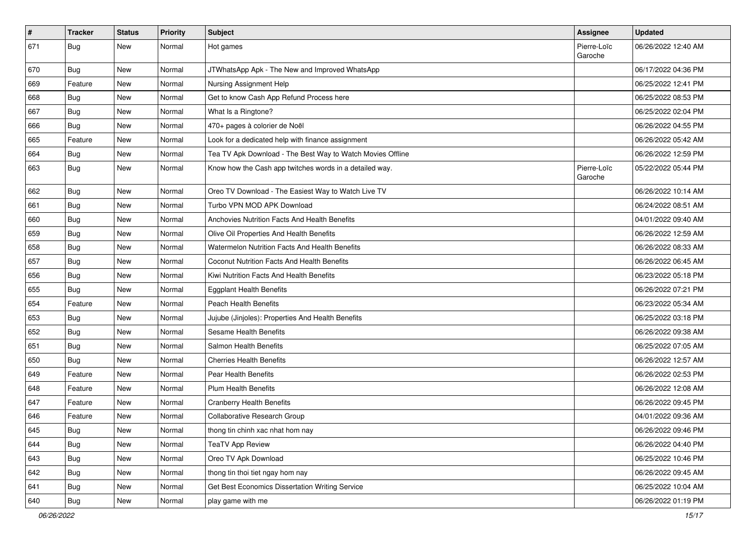| $\vert$ # | <b>Tracker</b> | <b>Status</b> | <b>Priority</b> | <b>Subject</b>                                             | Assignee               | <b>Updated</b>      |
|-----------|----------------|---------------|-----------------|------------------------------------------------------------|------------------------|---------------------|
| 671       | <b>Bug</b>     | New           | Normal          | Hot games                                                  | Pierre-Loïc<br>Garoche | 06/26/2022 12:40 AM |
| 670       | Bug            | <b>New</b>    | Normal          | JTWhatsApp Apk - The New and Improved WhatsApp             |                        | 06/17/2022 04:36 PM |
| 669       | Feature        | <b>New</b>    | Normal          | Nursing Assignment Help                                    |                        | 06/25/2022 12:41 PM |
| 668       | Bug            | <b>New</b>    | Normal          | Get to know Cash App Refund Process here                   |                        | 06/25/2022 08:53 PM |
| 667       | <b>Bug</b>     | <b>New</b>    | Normal          | What Is a Ringtone?                                        |                        | 06/25/2022 02:04 PM |
| 666       | <b>Bug</b>     | <b>New</b>    | Normal          | 470+ pages à colorier de Noël                              |                        | 06/26/2022 04:55 PM |
| 665       | Feature        | <b>New</b>    | Normal          | Look for a dedicated help with finance assignment          |                        | 06/26/2022 05:42 AM |
| 664       | <b>Bug</b>     | New           | Normal          | Tea TV Apk Download - The Best Way to Watch Movies Offline |                        | 06/26/2022 12:59 PM |
| 663       | <b>Bug</b>     | New           | Normal          | Know how the Cash app twitches words in a detailed way.    | Pierre-Loïc<br>Garoche | 05/22/2022 05:44 PM |
| 662       | Bug            | <b>New</b>    | Normal          | Oreo TV Download - The Easiest Way to Watch Live TV        |                        | 06/26/2022 10:14 AM |
| 661       | Bug            | New           | Normal          | Turbo VPN MOD APK Download                                 |                        | 06/24/2022 08:51 AM |
| 660       | <b>Bug</b>     | New           | Normal          | Anchovies Nutrition Facts And Health Benefits              |                        | 04/01/2022 09:40 AM |
| 659       | <b>Bug</b>     | <b>New</b>    | Normal          | Olive Oil Properties And Health Benefits                   |                        | 06/26/2022 12:59 AM |
| 658       | Bug            | <b>New</b>    | Normal          | Watermelon Nutrition Facts And Health Benefits             |                        | 06/26/2022 08:33 AM |
| 657       | <b>Bug</b>     | <b>New</b>    | Normal          | Coconut Nutrition Facts And Health Benefits                |                        | 06/26/2022 06:45 AM |
| 656       | <b>Bug</b>     | <b>New</b>    | Normal          | Kiwi Nutrition Facts And Health Benefits                   |                        | 06/23/2022 05:18 PM |
| 655       | <b>Bug</b>     | New           | Normal          | <b>Eggplant Health Benefits</b>                            |                        | 06/26/2022 07:21 PM |
| 654       | Feature        | New           | Normal          | <b>Peach Health Benefits</b>                               |                        | 06/23/2022 05:34 AM |
| 653       | <b>Bug</b>     | <b>New</b>    | Normal          | Jujube (Jinjoles): Properties And Health Benefits          |                        | 06/25/2022 03:18 PM |
| 652       | Bug            | <b>New</b>    | Normal          | Sesame Health Benefits                                     |                        | 06/26/2022 09:38 AM |
| 651       | <b>Bug</b>     | New           | Normal          | Salmon Health Benefits                                     |                        | 06/25/2022 07:05 AM |
| 650       | Bug            | New           | Normal          | <b>Cherries Health Benefits</b>                            |                        | 06/26/2022 12:57 AM |
| 649       | Feature        | New           | Normal          | Pear Health Benefits                                       |                        | 06/26/2022 02:53 PM |
| 648       | Feature        | <b>New</b>    | Normal          | <b>Plum Health Benefits</b>                                |                        | 06/26/2022 12:08 AM |
| 647       | Feature        | New           | Normal          | <b>Cranberry Health Benefits</b>                           |                        | 06/26/2022 09:45 PM |
| 646       | Feature        | New           | Normal          | Collaborative Research Group                               |                        | 04/01/2022 09:36 AM |
| 645       | Bug            | New           | Normal          | thong tin chinh xac nhat hom nay                           |                        | 06/26/2022 09:46 PM |
| 644       | Bug            | New           | Normal          | <b>TeaTV App Review</b>                                    |                        | 06/26/2022 04:40 PM |
| 643       | Bug            | <b>New</b>    | Normal          | Oreo TV Apk Download                                       |                        | 06/25/2022 10:46 PM |
| 642       | <b>Bug</b>     | New           | Normal          | thong tin thoi tiet ngay hom nay                           |                        | 06/26/2022 09:45 AM |
| 641       | <b>Bug</b>     | New           | Normal          | Get Best Economics Dissertation Writing Service            |                        | 06/25/2022 10:04 AM |
| 640       | <b>Bug</b>     | New           | Normal          | play game with me                                          |                        | 06/26/2022 01:19 PM |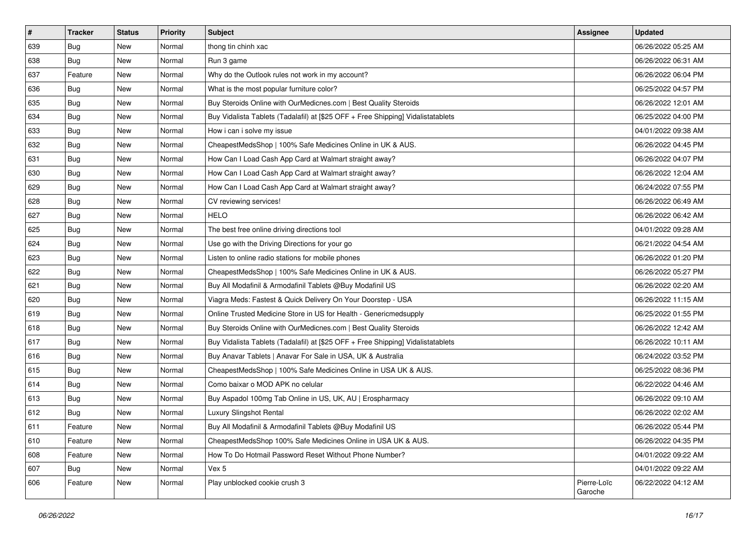| $\vert$ # | <b>Tracker</b> | <b>Status</b> | <b>Priority</b> | Subject                                                                          | Assignee               | <b>Updated</b>      |
|-----------|----------------|---------------|-----------------|----------------------------------------------------------------------------------|------------------------|---------------------|
| 639       | Bug            | New           | Normal          | thong tin chinh xac                                                              |                        | 06/26/2022 05:25 AM |
| 638       | Bug            | New           | Normal          | Run 3 game                                                                       |                        | 06/26/2022 06:31 AM |
| 637       | Feature        | New           | Normal          | Why do the Outlook rules not work in my account?                                 |                        | 06/26/2022 06:04 PM |
| 636       | <b>Bug</b>     | New           | Normal          | What is the most popular furniture color?                                        |                        | 06/25/2022 04:57 PM |
| 635       | <b>Bug</b>     | <b>New</b>    | Normal          | Buy Steroids Online with OurMedicnes.com   Best Quality Steroids                 |                        | 06/26/2022 12:01 AM |
| 634       | Bug            | New           | Normal          | Buy Vidalista Tablets (Tadalafil) at [\$25 OFF + Free Shipping] Vidalistatablets |                        | 06/25/2022 04:00 PM |
| 633       | Bug            | New           | Normal          | How i can i solve my issue                                                       |                        | 04/01/2022 09:38 AM |
| 632       | Bug            | New           | Normal          | CheapestMedsShop   100% Safe Medicines Online in UK & AUS.                       |                        | 06/26/2022 04:45 PM |
| 631       | <b>Bug</b>     | New           | Normal          | How Can I Load Cash App Card at Walmart straight away?                           |                        | 06/26/2022 04:07 PM |
| 630       | Bug            | New           | Normal          | How Can I Load Cash App Card at Walmart straight away?                           |                        | 06/26/2022 12:04 AM |
| 629       | <b>Bug</b>     | New           | Normal          | How Can I Load Cash App Card at Walmart straight away?                           |                        | 06/24/2022 07:55 PM |
| 628       | Bug            | New           | Normal          | CV reviewing services!                                                           |                        | 06/26/2022 06:49 AM |
| 627       | Bug            | New           | Normal          | <b>HELO</b>                                                                      |                        | 06/26/2022 06:42 AM |
| 625       | Bug            | New           | Normal          | The best free online driving directions tool                                     |                        | 04/01/2022 09:28 AM |
| 624       | Bug            | New           | Normal          | Use go with the Driving Directions for your go                                   |                        | 06/21/2022 04:54 AM |
| 623       | <b>Bug</b>     | New           | Normal          | Listen to online radio stations for mobile phones                                |                        | 06/26/2022 01:20 PM |
| 622       | Bug            | New           | Normal          | CheapestMedsShop   100% Safe Medicines Online in UK & AUS.                       |                        | 06/26/2022 05:27 PM |
| 621       | Bug            | <b>New</b>    | Normal          | Buy All Modafinil & Armodafinil Tablets @Buy Modafinil US                        |                        | 06/26/2022 02:20 AM |
| 620       | <b>Bug</b>     | New           | Normal          | Viagra Meds: Fastest & Quick Delivery On Your Doorstep - USA                     |                        | 06/26/2022 11:15 AM |
| 619       | Bug            | New           | Normal          | Online Trusted Medicine Store in US for Health - Genericmedsupply                |                        | 06/25/2022 01:55 PM |
| 618       | Bug            | New           | Normal          | Buy Steroids Online with OurMedicnes.com   Best Quality Steroids                 |                        | 06/26/2022 12:42 AM |
| 617       | Bug            | New           | Normal          | Buy Vidalista Tablets (Tadalafil) at [\$25 OFF + Free Shipping] Vidalistatablets |                        | 06/26/2022 10:11 AM |
| 616       | Bug            | <b>New</b>    | Normal          | Buy Anavar Tablets   Anavar For Sale in USA, UK & Australia                      |                        | 06/24/2022 03:52 PM |
| 615       | <b>Bug</b>     | New           | Normal          | CheapestMedsShop   100% Safe Medicines Online in USA UK & AUS.                   |                        | 06/25/2022 08:36 PM |
| 614       | Bug            | New           | Normal          | Como baixar o MOD APK no celular                                                 |                        | 06/22/2022 04:46 AM |
| 613       | Bug            | New           | Normal          | Buy Aspadol 100mg Tab Online in US, UK, AU   Erospharmacy                        |                        | 06/26/2022 09:10 AM |
| 612       | <b>Bug</b>     | New           | Normal          | Luxury Slingshot Rental                                                          |                        | 06/26/2022 02:02 AM |
| 611       | Feature        | New           | Normal          | Buy All Modafinil & Armodafinil Tablets @Buy Modafinil US                        |                        | 06/26/2022 05:44 PM |
| 610       | Feature        | New           | Normal          | CheapestMedsShop 100% Safe Medicines Online in USA UK & AUS.                     |                        | 06/26/2022 04:35 PM |
| 608       | Feature        | New           | Normal          | How To Do Hotmail Password Reset Without Phone Number?                           |                        | 04/01/2022 09:22 AM |
| 607       | Bug            | New           | Normal          | Vex 5                                                                            |                        | 04/01/2022 09:22 AM |
| 606       | Feature        | New           | Normal          | Play unblocked cookie crush 3                                                    | Pierre-Loïc<br>Garoche | 06/22/2022 04:12 AM |